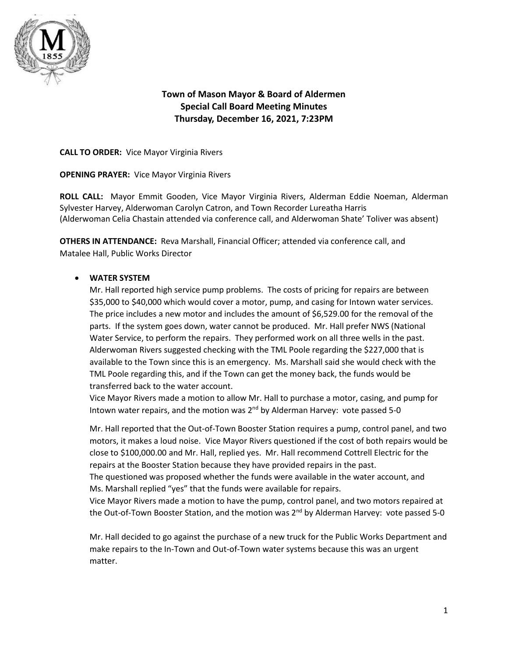

# **Town of Mason Mayor & Board of Aldermen Special Call Board Meeting Minutes Thursday, December 16, 2021, 7:23PM**

**CALL TO ORDER:** Vice Mayor Virginia Rivers

**OPENING PRAYER:** Vice Mayor Virginia Rivers

**ROLL CALL:** Mayor Emmit Gooden, Vice Mayor Virginia Rivers, Alderman Eddie Noeman, Alderman Sylvester Harvey, Alderwoman Carolyn Catron, and Town Recorder Lureatha Harris (Alderwoman Celia Chastain attended via conference call, and Alderwoman Shate' Toliver was absent)

**OTHERS IN ATTENDANCE:** Reva Marshall, Financial Officer; attended via conference call, and Matalee Hall, Public Works Director

## • **WATER SYSTEM**

Mr. Hall reported high service pump problems. The costs of pricing for repairs are between \$35,000 to \$40,000 which would cover a motor, pump, and casing for Intown water services. The price includes a new motor and includes the amount of \$6,529.00 for the removal of the parts. If the system goes down, water cannot be produced. Mr. Hall prefer NWS (National Water Service, to perform the repairs. They performed work on all three wells in the past. Alderwoman Rivers suggested checking with the TML Poole regarding the \$227,000 that is available to the Town since this is an emergency. Ms. Marshall said she would check with the TML Poole regarding this, and if the Town can get the money back, the funds would be transferred back to the water account.

Vice Mayor Rivers made a motion to allow Mr. Hall to purchase a motor, casing, and pump for Intown water repairs, and the motion was  $2<sup>nd</sup>$  by Alderman Harvey: vote passed 5-0

Mr. Hall reported that the Out-of-Town Booster Station requires a pump, control panel, and two motors, it makes a loud noise. Vice Mayor Rivers questioned if the cost of both repairs would be close to \$100,000.00 and Mr. Hall, replied yes. Mr. Hall recommend Cottrell Electric for the repairs at the Booster Station because they have provided repairs in the past.

The questioned was proposed whether the funds were available in the water account, and Ms. Marshall replied "yes" that the funds were available for repairs.

Vice Mayor Rivers made a motion to have the pump, control panel, and two motors repaired at the Out-of-Town Booster Station, and the motion was  $2^{nd}$  by Alderman Harvey: vote passed 5-0

Mr. Hall decided to go against the purchase of a new truck for the Public Works Department and make repairs to the In-Town and Out-of-Town water systems because this was an urgent matter.